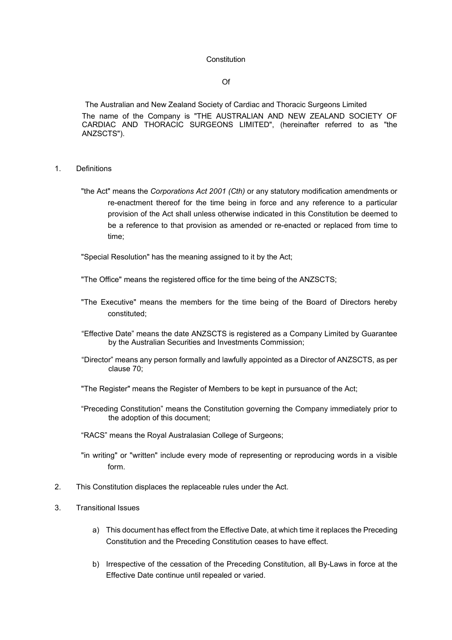#### **Constitution**

### Of

The Australian and New Zealand Society of Cardiac and Thoracic Surgeons Limited The name of the Company is "THE AUSTRALIAN AND NEW ZEALAND SOCIETY OF CARDIAC AND THORACIC SURGEONS LIMITED", (hereinafter referred to as "the ANZSCTS").

- 1. Definitions
	- "the Act" means the *Corporations Act 2001 (Cth)* or any statutory modification amendments or re-enactment thereof for the time being in force and any reference to a particular provision of the Act shall unless otherwise indicated in this Constitution be deemed to be a reference to that provision as amended or re-enacted or replaced from time to time;

"Special Resolution" has the meaning assigned to it by the Act;

- "The Office" means the registered office for the time being of the ANZSCTS;
- "The Executive" means the members for the time being of the Board of Directors hereby constituted;
- "Effective Date" means the date ANZSCTS is registered as a Company Limited by Guarantee by the Australian Securities and Investments Commission;
- "Director" means any person formally and lawfully appointed as a Director of ANZSCTS, as per clause [70;](#page-9-0)
- "The Register" means the Register of Members to be kept in pursuance of the Act;
- "Preceding Constitution" means the Constitution governing the Company immediately prior to the adoption of this document;
- "RACS" means the Royal Australasian College of Surgeons;
- "in writing" or "written" include every mode of representing or reproducing words in a visible form.
- 2. This Constitution displaces the replaceable rules under the Act.
- <span id="page-0-0"></span>3. Transitional Issues
	- a) This document has effect from the Effective Date, at which time it replaces the Preceding Constitution and the Preceding Constitution ceases to have effect.
	- b) Irrespective of the cessation of the Preceding Constitution, all By-Laws in force at the Effective Date continue until repealed or varied.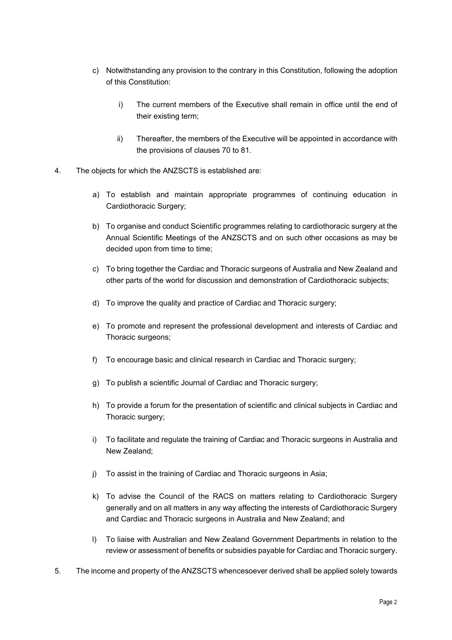- c) Notwithstanding any provision to the contrary in this Constitution, following the adoption of this Constitution:
	- i) The current members of the Executive shall remain in office until the end of their existing term;
	- ii) Thereafter, the members of the Executive will be appointed in accordance with the provisions of clauses [70](#page-9-0) to [81.](#page-11-0)
- <span id="page-1-0"></span>4. The objects for which the ANZSCTS is established are:
	- a) To establish and maintain appropriate programmes of continuing education in Cardiothoracic Surgery;
	- b) To organise and conduct Scientific programmes relating to cardiothoracic surgery at the Annual Scientific Meetings of the ANZSCTS and on such other occasions as may be decided upon from time to time;
	- c) To bring together the Cardiac and Thoracic surgeons of Australia and New Zealand and other parts of the world for discussion and demonstration of Cardiothoracic subjects;
	- d) To improve the quality and practice of Cardiac and Thoracic surgery;
	- e) To promote and represent the professional development and interests of Cardiac and Thoracic surgeons;
	- f) To encourage basic and clinical research in Cardiac and Thoracic surgery;
	- g) To publish a scientific Journal of Cardiac and Thoracic surgery;
	- h) To provide a forum for the presentation of scientific and clinical subjects in Cardiac and Thoracic surgery;
	- i) To facilitate and regulate the training of Cardiac and Thoracic surgeons in Australia and New Zealand;
	- j) To assist in the training of Cardiac and Thoracic surgeons in Asia;
	- k) To advise the Council of the RACS on matters relating to Cardiothoracic Surgery generally and on all matters in any way affecting the interests of Cardiothoracic Surgery and Cardiac and Thoracic surgeons in Australia and New Zealand; and
	- l) To liaise with Australian and New Zealand Government Departments in relation to the review or assessment of benefits or subsidies payable for Cardiac and Thoracic surgery.
- <span id="page-1-1"></span>5. The income and property of the ANZSCTS whencesoever derived shall be applied solely towards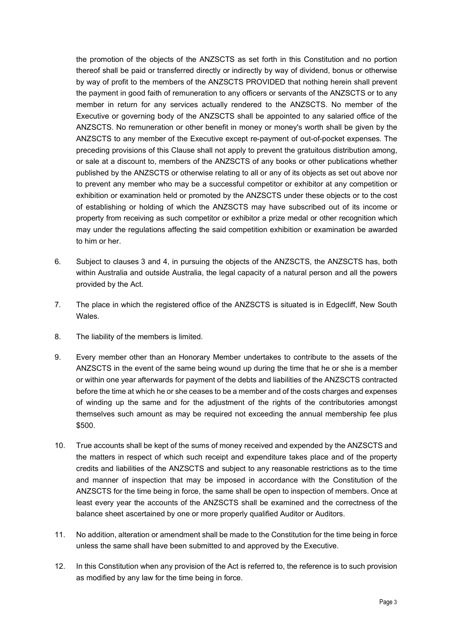the promotion of the objects of the ANZSCTS as set forth in this Constitution and no portion thereof shall be paid or transferred directly or indirectly by way of dividend, bonus or otherwise by way of profit to the members of the ANZSCTS PROVIDED that nothing herein shall prevent the payment in good faith of remuneration to any officers or servants of the ANZSCTS or to any member in return for any services actually rendered to the ANZSCTS. No member of the Executive or governing body of the ANZSCTS shall be appointed to any salaried office of the ANZSCTS. No remuneration or other benefit in money or money's worth shall be given by the ANZSCTS to any member of the Executive except re-payment of out-of-pocket expenses. The preceding provisions of this Clause shall not apply to prevent the gratuitous distribution among, or sale at a discount to, members of the ANZSCTS of any books or other publications whether published by the ANZSCTS or otherwise relating to all or any of its objects as set out above nor to prevent any member who may be a successful competitor or exhibitor at any competition or exhibition or examination held or promoted by the ANZSCTS under these objects or to the cost of establishing or holding of which the ANZSCTS may have subscribed out of its income or property from receiving as such competitor or exhibitor a prize medal or other recognition which may under the regulations affecting the said competition exhibition or examination be awarded to him or her.

- 6. Subject to clauses [3](#page-0-0) and [4,](#page-1-0) in pursuing the objects of the ANZSCTS, the ANZSCTS has, both within Australia and outside Australia, the legal capacity of a natural person and all the powers provided by the Act.
- 7. The place in which the registered office of the ANZSCTS is situated is in Edgecliff, New South **Wales**
- 8. The liability of the members is limited.
- 9. Every member other than an Honorary Member undertakes to contribute to the assets of the ANZSCTS in the event of the same being wound up during the time that he or she is a member or within one year afterwards for payment of the debts and liabilities of the ANZSCTS contracted before the time at which he or she ceases to be a member and of the costs charges and expenses of winding up the same and for the adjustment of the rights of the contributories amongst themselves such amount as may be required not exceeding the annual membership fee plus \$500.
- <span id="page-2-0"></span>10. True accounts shall be kept of the sums of money received and expended by the ANZSCTS and the matters in respect of which such receipt and expenditure takes place and of the property credits and liabilities of the ANZSCTS and subject to any reasonable restrictions as to the time and manner of inspection that may be imposed in accordance with the Constitution of the ANZSCTS for the time being in force, the same shall be open to inspection of members. Once at least every year the accounts of the ANZSCTS shall be examined and the correctness of the balance sheet ascertained by one or more properly qualified Auditor or Auditors.
- 11. No addition, alteration or amendment shall be made to the Constitution for the time being in force unless the same shall have been submitted to and approved by the Executive.
- 12. In this Constitution when any provision of the Act is referred to, the reference is to such provision as modified by any law for the time being in force.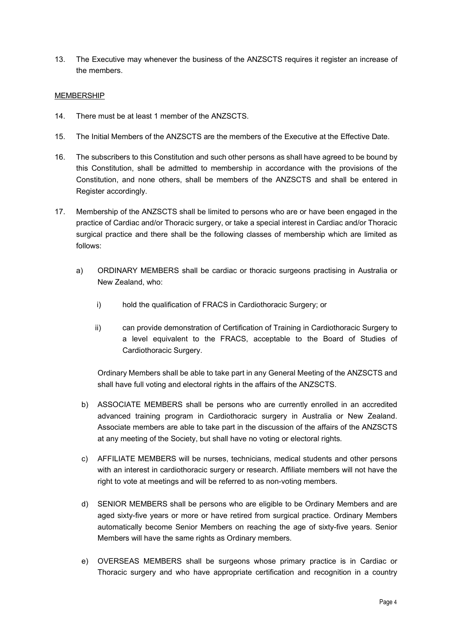13. The Executive may whenever the business of the ANZSCTS requires it register an increase of the members.

### MEMBERSHIP

- 14. There must be at least 1 member of the ANZSCTS.
- 15. The Initial Members of the ANZSCTS are the members of the Executive at the Effective Date.
- 16. The subscribers to this Constitution and such other persons as shall have agreed to be bound by this Constitution, shall be admitted to membership in accordance with the provisions of the Constitution, and none others, shall be members of the ANZSCTS and shall be entered in Register accordingly.
- 17. Membership of the ANZSCTS shall be limited to persons who are or have been engaged in the practice of Cardiac and/or Thoracic surgery, or take a special interest in Cardiac and/or Thoracic surgical practice and there shall be the following classes of membership which are limited as follows:
	- a) ORDINARY MEMBERS shall be cardiac or thoracic surgeons practising in Australia or New Zealand, who:
		- i) hold the qualification of FRACS in Cardiothoracic Surgery; or
		- ii) can provide demonstration of Certification of Training in Cardiothoracic Surgery to a level equivalent to the FRACS, acceptable to the Board of Studies of Cardiothoracic Surgery.

Ordinary Members shall be able to take part in any General Meeting of the ANZSCTS and shall have full voting and electoral rights in the affairs of the ANZSCTS.

- b) ASSOCIATE MEMBERS shall be persons who are currently enrolled in an accredited advanced training program in Cardiothoracic surgery in Australia or New Zealand. Associate members are able to take part in the discussion of the affairs of the ANZSCTS at any meeting of the Society, but shall have no voting or electoral rights.
- c) AFFILIATE MEMBERS will be nurses, technicians, medical students and other persons with an interest in cardiothoracic surgery or research. Affiliate members will not have the right to vote at meetings and will be referred to as non-voting members.
- d) SENIOR MEMBERS shall be persons who are eligible to be Ordinary Members and are aged sixty-five years or more or have retired from surgical practice. Ordinary Members automatically become Senior Members on reaching the age of sixty-five years. Senior Members will have the same rights as Ordinary members.
- e) OVERSEAS MEMBERS shall be surgeons whose primary practice is in Cardiac or Thoracic surgery and who have appropriate certification and recognition in a country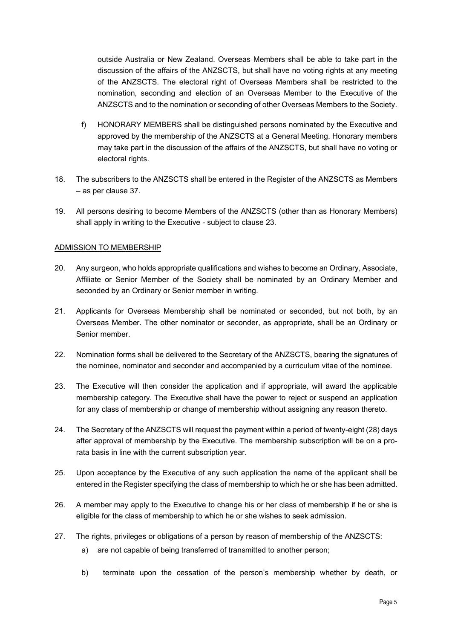outside Australia or New Zealand. Overseas Members shall be able to take part in the discussion of the affairs of the ANZSCTS, but shall have no voting rights at any meeting of the ANZSCTS. The electoral right of Overseas Members shall be restricted to the nomination, seconding and election of an Overseas Member to the Executive of the ANZSCTS and to the nomination or seconding of other Overseas Members to the Society.

- f) HONORARY MEMBERS shall be distinguished persons nominated by the Executive and approved by the membership of the ANZSCTS at a General Meeting. Honorary members may take part in the discussion of the affairs of the ANZSCTS, but shall have no voting or electoral rights.
- 18. The subscribers to the ANZSCTS shall be entered in the Register of the ANZSCTS as Members – as per clause [37.](#page-6-0)
- 19. All persons desiring to become Members of the ANZSCTS (other than as Honorary Members) shall apply in writing to the Executive - subject to clause [23.](#page-4-0)

## ADMISSION TO MEMBERSHIP

- 20. Any surgeon, who holds appropriate qualifications and wishes to become an Ordinary, Associate, Affiliate or Senior Member of the Society shall be nominated by an Ordinary Member and seconded by an Ordinary or Senior member in writing.
- 21. Applicants for Overseas Membership shall be nominated or seconded, but not both, by an Overseas Member. The other nominator or seconder, as appropriate, shall be an Ordinary or Senior member.
- 22. Nomination forms shall be delivered to the Secretary of the ANZSCTS, bearing the signatures of the nominee, nominator and seconder and accompanied by a curriculum vitae of the nominee.
- <span id="page-4-0"></span>23. The Executive will then consider the application and if appropriate, will award the applicable membership category. The Executive shall have the power to reject or suspend an application for any class of membership or change of membership without assigning any reason thereto.
- 24. The Secretary of the ANZSCTS will request the payment within a period of twenty-eight (28) days after approval of membership by the Executive. The membership subscription will be on a prorata basis in line with the current subscription year.
- 25. Upon acceptance by the Executive of any such application the name of the applicant shall be entered in the Register specifying the class of membership to which he or she has been admitted.
- 26. A member may apply to the Executive to change his or her class of membership if he or she is eligible for the class of membership to which he or she wishes to seek admission.
- 27. The rights, privileges or obligations of a person by reason of membership of the ANZSCTS:
	- a) are not capable of being transferred of transmitted to another person;
	- b) terminate upon the cessation of the person's membership whether by death, or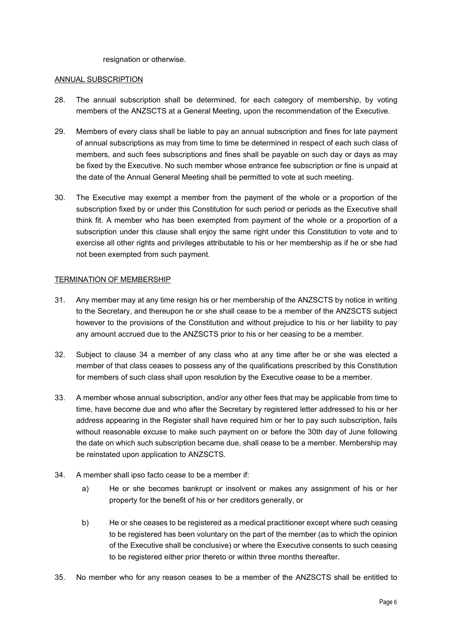resignation or otherwise.

#### ANNUAL SUBSCRIPTION

- 28. The annual subscription shall be determined, for each category of membership, by voting members of the ANZSCTS at a General Meeting, upon the recommendation of the Executive.
- 29. Members of every class shall be liable to pay an annual subscription and fines for late payment of annual subscriptions as may from time to time be determined in respect of each such class of members, and such fees subscriptions and fines shall be payable on such day or days as may be fixed by the Executive. No such member whose entrance fee subscription or fine is unpaid at the date of the Annual General Meeting shall be permitted to vote at such meeting.
- 30. The Executive may exempt a member from the payment of the whole or a proportion of the subscription fixed by or under this Constitution for such period or periods as the Executive shall think fit. A member who has been exempted from payment of the whole or a proportion of a subscription under this clause shall enjoy the same right under this Constitution to vote and to exercise all other rights and privileges attributable to his or her membership as if he or she had not been exempted from such payment.

### TERMINATION OF MEMBERSHIP

- 31. Any member may at any time resign his or her membership of the ANZSCTS by notice in writing to the Secretary, and thereupon he or she shall cease to be a member of the ANZSCTS subject however to the provisions of the Constitution and without prejudice to his or her liability to pay any amount accrued due to the ANZSCTS prior to his or her ceasing to be a member.
- 32. Subject to clause [34](#page-5-0) a member of any class who at any time after he or she was elected a member of that class ceases to possess any of the qualifications prescribed by this Constitution for members of such class shall upon resolution by the Executive cease to be a member.
- 33. A member whose annual subscription, and/or any other fees that may be applicable from time to time, have become due and who after the Secretary by registered letter addressed to his or her address appearing in the Register shall have required him or her to pay such subscription, fails without reasonable excuse to make such payment on or before the 30th day of June following the date on which such subscription became due, shall cease to be a member. Membership may be reinstated upon application to ANZSCTS.
- <span id="page-5-0"></span>34. A member shall ipso facto cease to be a member if:
	- a) He or she becomes bankrupt or insolvent or makes any assignment of his or her property for the benefit of his or her creditors generally, or
	- b) He or she ceases to be registered as a medical practitioner except where such ceasing to be registered has been voluntary on the part of the member (as to which the opinion of the Executive shall be conclusive) or where the Executive consents to such ceasing to be registered either prior thereto or within three months thereafter.
- 35. No member who for any reason ceases to be a member of the ANZSCTS shall be entitled to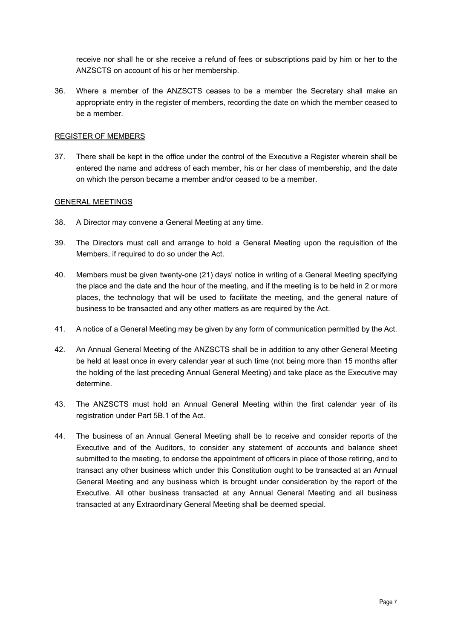receive nor shall he or she receive a refund of fees or subscriptions paid by him or her to the ANZSCTS on account of his or her membership.

36. Where a member of the ANZSCTS ceases to be a member the Secretary shall make an appropriate entry in the register of members, recording the date on which the member ceased to be a member.

### REGISTER OF MEMBERS

<span id="page-6-0"></span>37. There shall be kept in the office under the control of the Executive a Register wherein shall be entered the name and address of each member, his or her class of membership, and the date on which the person became a member and/or ceased to be a member.

### GENERAL MEETINGS

- 38. A Director may convene a General Meeting at any time.
- 39. The Directors must call and arrange to hold a General Meeting upon the requisition of the Members, if required to do so under the Act.
- 40. Members must be given twenty-one (21) days' notice in writing of a General Meeting specifying the place and the date and the hour of the meeting, and if the meeting is to be held in 2 or more places, the technology that will be used to facilitate the meeting, and the general nature of business to be transacted and any other matters as are required by the Act.
- 41. A notice of a General Meeting may be given by any form of communication permitted by the Act.
- 42. An Annual General Meeting of the ANZSCTS shall be in addition to any other General Meeting be held at least once in every calendar year at such time (not being more than 15 months after the holding of the last preceding Annual General Meeting) and take place as the Executive may determine.
- 43. The ANZSCTS must hold an Annual General Meeting within the first calendar year of its registration under Part 5B.1 of the Act.
- 44. The business of an Annual General Meeting shall be to receive and consider reports of the Executive and of the Auditors, to consider any statement of accounts and balance sheet submitted to the meeting, to endorse the appointment of officers in place of those retiring, and to transact any other business which under this Constitution ought to be transacted at an Annual General Meeting and any business which is brought under consideration by the report of the Executive. All other business transacted at any Annual General Meeting and all business transacted at any Extraordinary General Meeting shall be deemed special.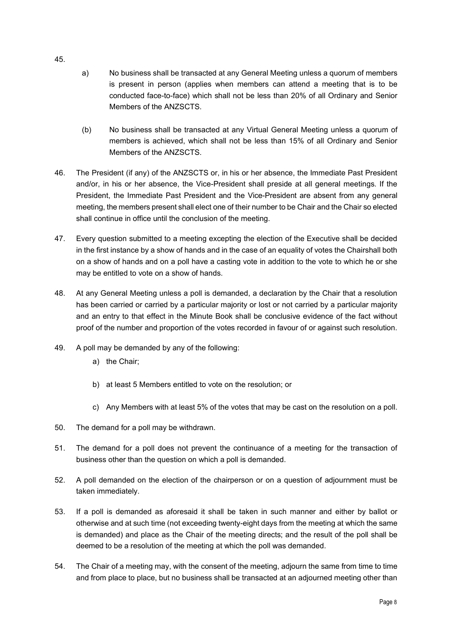- a) No business shall be transacted at any General Meeting unless a quorum of members is present in person (applies when members can attend a meeting that is to be conducted face-to-face) which shall not be less than 20% of all Ordinary and Senior Members of the ANZSCTS.
- (b) No business shall be transacted at any Virtual General Meeting unless a quorum of members is achieved, which shall not be less than 15% of all Ordinary and Senior Members of the ANZSCTS.
- 46. The President (if any) of the ANZSCTS or, in his or her absence, the Immediate Past President and/or, in his or her absence, the Vice-President shall preside at all general meetings. If the President, the Immediate Past President and the Vice-President are absent from any general meeting, the members present shall elect one of their number to be Chair and the Chair so elected shall continue in office until the conclusion of the meeting.
- 47. Every question submitted to a meeting excepting the election of the Executive shall be decided in the first instance by a show of hands and in the case of an equality of votes the Chairshall both on a show of hands and on a poll have a casting vote in addition to the vote to which he or she may be entitled to vote on a show of hands.
- 48. At any General Meeting unless a poll is demanded, a declaration by the Chair that a resolution has been carried or carried by a particular majority or lost or not carried by a particular majority and an entry to that effect in the Minute Book shall be conclusive evidence of the fact without proof of the number and proportion of the votes recorded in favour of or against such resolution.
- 49. A poll may be demanded by any of the following:
	- a) the Chair;
	- b) at least 5 Members entitled to vote on the resolution; or
	- c) Any Members with at least 5% of the votes that may be cast on the resolution on a poll.
- 50. The demand for a poll may be withdrawn.
- 51. The demand for a poll does not prevent the continuance of a meeting for the transaction of business other than the question on which a poll is demanded.
- 52. A poll demanded on the election of the chairperson or on a question of adjournment must be taken immediately.
- 53. If a poll is demanded as aforesaid it shall be taken in such manner and either by ballot or otherwise and at such time (not exceeding twenty-eight days from the meeting at which the same is demanded) and place as the Chair of the meeting directs; and the result of the poll shall be deemed to be a resolution of the meeting at which the poll was demanded.
- 54. The Chair of a meeting may, with the consent of the meeting, adjourn the same from time to time and from place to place, but no business shall be transacted at an adjourned meeting other than

45.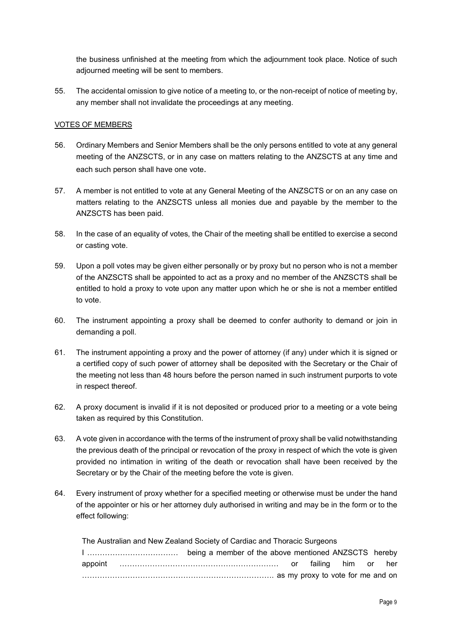the business unfinished at the meeting from which the adjournment took place. Notice of such adjourned meeting will be sent to members.

55. The accidental omission to give notice of a meeting to, or the non-receipt of notice of meeting by, any member shall not invalidate the proceedings at any meeting.

# VOTES OF MEMBERS

- 56. Ordinary Members and Senior Members shall be the only persons entitled to vote at any general meeting of the ANZSCTS, or in any case on matters relating to the ANZSCTS at any time and each such person shall have one vote.
- <span id="page-8-0"></span>57. A member is not entitled to vote at any General Meeting of the ANZSCTS or on an any case on matters relating to the ANZSCTS unless all monies due and payable by the member to the ANZSCTS has been paid.
- 58. In the case of an equality of votes, the Chair of the meeting shall be entitled to exercise a second or casting vote.
- 59. Upon a poll votes may be given either personally or by proxy but no person who is not a member of the ANZSCTS shall be appointed to act as a proxy and no member of the ANZSCTS shall be entitled to hold a proxy to vote upon any matter upon which he or she is not a member entitled to vote.
- 60. The instrument appointing a proxy shall be deemed to confer authority to demand or join in demanding a poll.
- 61. The instrument appointing a proxy and the power of attorney (if any) under which it is signed or a certified copy of such power of attorney shall be deposited with the Secretary or the Chair of the meeting not less than 48 hours before the person named in such instrument purports to vote in respect thereof.
- 62. A proxy document is invalid if it is not deposited or produced prior to a meeting or a vote being taken as required by this Constitution.
- 63. A vote given in accordance with the terms of the instrument of proxy shall be valid notwithstanding the previous death of the principal or revocation of the proxy in respect of which the vote is given provided no intimation in writing of the death or revocation shall have been received by the Secretary or by the Chair of the meeting before the vote is given.
- 64. Every instrument of proxy whether for a specified meeting or otherwise must be under the hand of the appointer or his or her attorney duly authorised in writing and may be in the form or to the effect following:

The Australian and New Zealand Society of Cardiac and Thoracic Surgeons I ……………………………… being a member of the above mentioned ANZSCTS hereby appoint ……………………………………………………… or failing him or her …………………………………………………………………. as my proxy to vote for me and on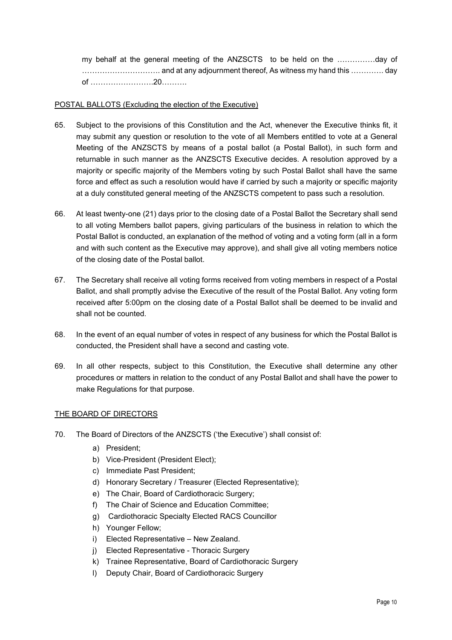my behalf at the general meeting of the ANZSCTS to be held on the ……………day of …………………………. and at any adjournment thereof, As witness my hand this …………. day of …………………….20……….

# POSTAL BALLOTS (Excluding the election of the Executive)

- 65. Subject to the provisions of this Constitution and the Act, whenever the Executive thinks fit, it may submit any question or resolution to the vote of all Members entitled to vote at a General Meeting of the ANZSCTS by means of a postal ballot (a Postal Ballot), in such form and returnable in such manner as the ANZSCTS Executive decides. A resolution approved by a majority or specific majority of the Members voting by such Postal Ballot shall have the same force and effect as such a resolution would have if carried by such a majority or specific majority at a duly constituted general meeting of the ANZSCTS competent to pass such a resolution.
- 66. At least twenty-one (21) days prior to the closing date of a Postal Ballot the Secretary shall send to all voting Members ballot papers, giving particulars of the business in relation to which the Postal Ballot is conducted, an explanation of the method of voting and a voting form (all in a form and with such content as the Executive may approve), and shall give all voting members notice of the closing date of the Postal ballot.
- 67. The Secretary shall receive all voting forms received from voting members in respect of a Postal Ballot, and shall promptly advise the Executive of the result of the Postal Ballot. Any voting form received after 5:00pm on the closing date of a Postal Ballot shall be deemed to be invalid and shall not be counted.
- 68. In the event of an equal number of votes in respect of any business for which the Postal Ballot is conducted, the President shall have a second and casting vote.
- 69. In all other respects, subject to this Constitution, the Executive shall determine any other procedures or matters in relation to the conduct of any Postal Ballot and shall have the power to make Regulations for that purpose.

## THE BOARD OF DIRECTORS

- <span id="page-9-0"></span>70. The Board of Directors of the ANZSCTS ('the Executive') shall consist of:
	- a) President;
	- b) Vice-President (President Elect);
	- c) Immediate Past President;
	- d) Honorary Secretary / Treasurer (Elected Representative);
	- e) The Chair, Board of Cardiothoracic Surgery;
	- f) The Chair of Science and Education Committee;
	- g) Cardiothoracic Specialty Elected RACS Councillor
	- h) Younger Fellow;
	- i) Elected Representative New Zealand.
	- j) Elected Representative Thoracic Surgery
	- k) Trainee Representative, Board of Cardiothoracic Surgery
	- l) Deputy Chair, Board of Cardiothoracic Surgery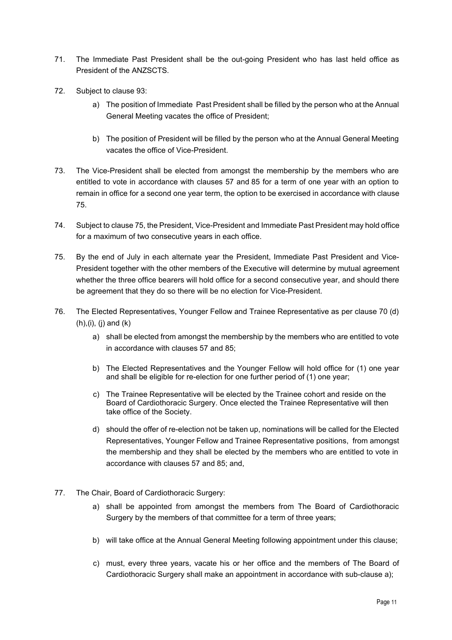- 71. The Immediate Past President shall be the out-going President who has last held office as President of the ANZSCTS.
- 72. Subject to claus[e 93:](#page-14-0)
	- a) The position of Immediate Past President shall be filled by the person who at the Annual General Meeting vacates the office of President;
	- b) The position of President will be filled by the person who at the Annual General Meeting vacates the office of Vice-President.
- 73. The Vice-President shall be elected from amongst the membership by the members who are entitled to vote in accordance with clauses [57](#page-8-0) an[d 85](#page-12-0) for a term of one year with an option to remain in office for a second one year term, the option to be exercised in accordance with clause [75.](#page-10-0)
- 74. Subject to clause 75, the President, Vice-President and Immediate Past President may hold office for a maximum of two consecutive years in each office.
- <span id="page-10-0"></span>75. By the end of July in each alternate year the President, Immediate Past President and Vice-President together with the other members of the Executive will determine by mutual agreement whether the three office bearers will hold office for a second consecutive year, and should there be agreement that they do so there will be no election for Vice-President.
- 76. The Elected Representatives, Younger Fellow and Trainee Representative as per clause [70](#page-9-0) (d)  $(h), (i), (j)$  and  $(k)$ 
	- a) shall be elected from amongst the membership by the members who are entitled to vote in accordance with clauses [57](#page-8-0) and [85;](#page-12-0)
	- b) The Elected Representatives and the Younger Fellow will hold office for (1) one year and shall be eligible for re-election for one further period of (1) one year;
	- c) The Trainee Representative will be elected by the Trainee cohort and reside on the Board of Cardiothoracic Surgery. Once elected the Trainee Representative will then take office of the Society.
	- d) should the offer of re-election not be taken up, nominations will be called for the Elected Representatives, Younger Fellow and Trainee Representative positions, from amongst the membership and they shall be elected by the members who are entitled to vote in accordance with clauses [57](#page-8-0) and [85;](#page-12-0) and,
- 77. The Chair, Board of Cardiothoracic Surgery:
	- a) shall be appointed from amongst the members from The Board of Cardiothoracic Surgery by the members of that committee for a term of three years;
	- b) will take office at the Annual General Meeting following appointment under this clause;
	- c) must, every three years, vacate his or her office and the members of The Board of Cardiothoracic Surgery shall make an appointment in accordance with sub-clause a);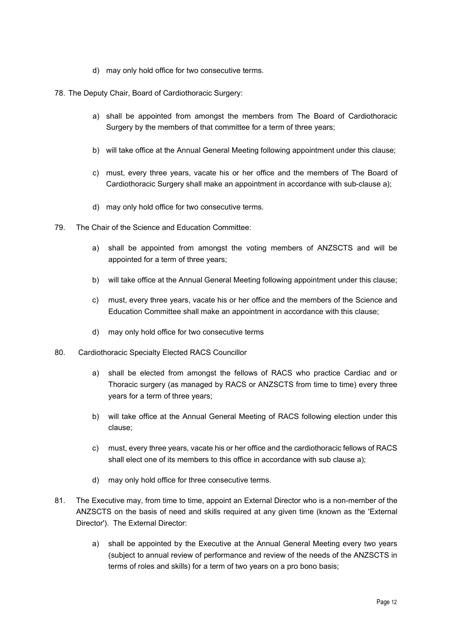- d) may only hold office for two consecutive terms.
- 78. The Deputy Chair, Board of Cardiothoracic Surgery:
	- a) shall be appointed from amongst the members from The Board of Cardiothoracic Surgery by the members of that committee for a term of three years;
	- b) will take office at the Annual General Meeting following appointment under this clause;
	- c) must, every three years, vacate his or her office and the members of The Board of Cardiothoracic Surgery shall make an appointment in accordance with sub-clause a);
	- d) may only hold office for two consecutive terms.
- 79. The Chair of the Science and Education Committee:
	- a) shall be appointed from amongst the voting members of ANZSCTS and will be appointed for a term of three years;
	- b) will take office at the Annual General Meeting following appointment under this clause;
	- c) must, every three years, vacate his or her office and the members of the Science and Education Committee shall make an appointment in accordance with this clause;
	- d) may only hold office for two consecutive terms
- 80. Cardiothoracic Specialty Elected RACS Councillor
	- a) shall be elected from amongst the fellows of RACS who practice Cardiac and or Thoracic surgery (as managed by RACS or ANZSCTS from time to time) every three years for a term of three years;
	- b) will take office at the Annual General Meeting of RACS following election under this clause;
	- c) must, every three years, vacate his or her office and the cardiothoracic fellows of RACS shall elect one of its members to this office in accordance with sub clause a);
	- d) may only hold office for three consecutive terms.
- <span id="page-11-0"></span>81. The Executive may, from time to time, appoint an External Director who is a non-member of the ANZSCTS on the basis of need and skills required at any given time (known as the 'External Director'). The External Director:
	- a) shall be appointed by the Executive at the Annual General Meeting every two years (subject to annual review of performance and review of the needs of the ANZSCTS in terms of roles and skills) for a term of two years on a pro bono basis;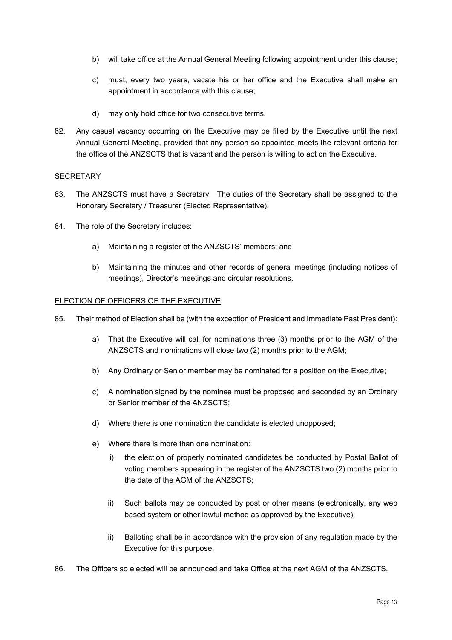- b) will take office at the Annual General Meeting following appointment under this clause;
- c) must, every two years, vacate his or her office and the Executive shall make an appointment in accordance with this clause;
- d) may only hold office for two consecutive terms.
- 82. Any casual vacancy occurring on the Executive may be filled by the Executive until the next Annual General Meeting, provided that any person so appointed meets the relevant criteria for the office of the ANZSCTS that is vacant and the person is willing to act on the Executive.

# **SECRETARY**

- 83. The ANZSCTS must have a Secretary. The duties of the Secretary shall be assigned to the Honorary Secretary / Treasurer (Elected Representative).
- 84. The role of the Secretary includes:
	- a) Maintaining a register of the ANZSCTS' members; and
	- b) Maintaining the minutes and other records of general meetings (including notices of meetings), Director's meetings and circular resolutions.

## <span id="page-12-0"></span>ELECTION OF OFFICERS OF THE EXECUTIVE

- 85. Their method of Election shall be (with the exception of President and Immediate Past President):
	- a) That the Executive will call for nominations three (3) months prior to the AGM of the ANZSCTS and nominations will close two (2) months prior to the AGM;
	- b) Any Ordinary or Senior member may be nominated for a position on the Executive;
	- c) A nomination signed by the nominee must be proposed and seconded by an Ordinary or Senior member of the ANZSCTS;
	- d) Where there is one nomination the candidate is elected unopposed;
	- e) Where there is more than one nomination:
		- i) the election of properly nominated candidates be conducted by Postal Ballot of voting members appearing in the register of the ANZSCTS two (2) months prior to the date of the AGM of the ANZSCTS;
		- ii) Such ballots may be conducted by post or other means (electronically, any web based system or other lawful method as approved by the Executive);
		- iii) Balloting shall be in accordance with the provision of any regulation made by the Executive for this purpose.
- 86. The Officers so elected will be announced and take Office at the next AGM of the ANZSCTS.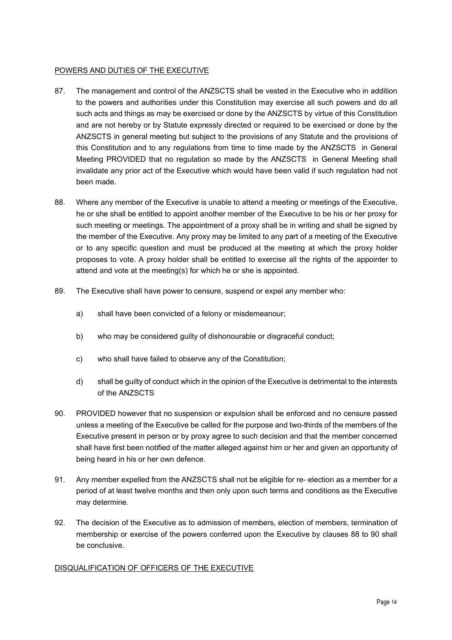# POWERS AND DUTIES OF THE EXECUTIVE

- 87. The management and control of the ANZSCTS shall be vested in the Executive who in addition to the powers and authorities under this Constitution may exercise all such powers and do all such acts and things as may be exercised or done by the ANZSCTS by virtue of this Constitution and are not hereby or by Statute expressly directed or required to be exercised or done by the ANZSCTS in general meeting but subject to the provisions of any Statute and the provisions of this Constitution and to any regulations from time to time made by the ANZSCTS in General Meeting PROVIDED that no regulation so made by the ANZSCTS in General Meeting shall invalidate any prior act of the Executive which would have been valid if such regulation had not been made.
- <span id="page-13-0"></span>88. Where any member of the Executive is unable to attend a meeting or meetings of the Executive, he or she shall be entitled to appoint another member of the Executive to be his or her proxy for such meeting or meetings. The appointment of a proxy shall be in writing and shall be signed by the member of the Executive. Any proxy may be limited to any part of a meeting of the Executive or to any specific question and must be produced at the meeting at which the proxy holder proposes to vote. A proxy holder shall be entitled to exercise all the rights of the appointer to attend and vote at the meeting(s) for which he or she is appointed.
- 89. The Executive shall have power to censure, suspend or expel any member who:
	- a) shall have been convicted of a felony or misdemeanour;
	- b) who may be considered guilty of dishonourable or disgraceful conduct;
	- c) who shall have failed to observe any of the Constitution;
	- d) shall be guilty of conduct which in the opinion of the Executive is detrimental to the interests of the ANZSCTS
- <span id="page-13-1"></span>90. PROVIDED however that no suspension or expulsion shall be enforced and no censure passed unless a meeting of the Executive be called for the purpose and two-thirds of the members of the Executive present in person or by proxy agree to such decision and that the member concerned shall have first been notified of the matter alleged against him or her and given an opportunity of being heard in his or her own defence.
- 91. Any member expelled from the ANZSCTS shall not be eligible for re- election as a member for a period of at least twelve months and then only upon such terms and conditions as the Executive may determine.
- 92. The decision of the Executive as to admission of members, election of members, termination of membership or exercise of the powers conferred upon the Executive by clauses [88](#page-13-0) to [90](#page-13-1) shall be conclusive.

## DISQUALIFICATION OF OFFICERS OF THE EXECUTIVE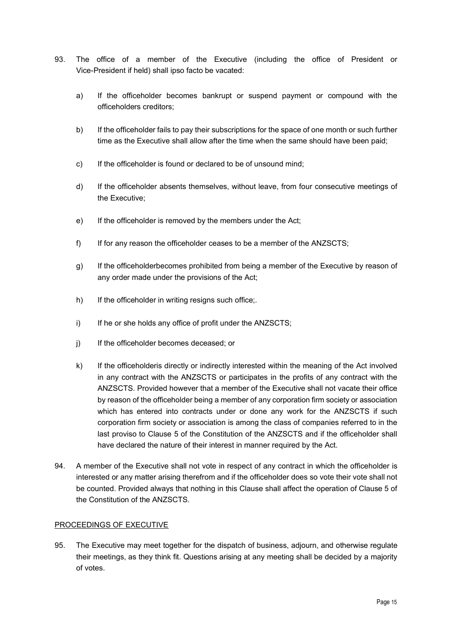- <span id="page-14-0"></span>93. The office of a member of the Executive (including the office of President or Vice-President if held) shall ipso facto be vacated:
	- a) If the officeholder becomes bankrupt or suspend payment or compound with the officeholders creditors;
	- b) If the officeholder fails to pay their subscriptions for the space of one month or such further time as the Executive shall allow after the time when the same should have been paid;
	- c) If the officeholder is found or declared to be of unsound mind;
	- d) If the officeholder absents themselves, without leave, from four consecutive meetings of the Executive;
	- e) If the officeholder is removed by the members under the Act;
	- f) If for any reason the officeholder ceases to be a member of the ANZSCTS;
	- g) If the officeholderbecomes prohibited from being a member of the Executive by reason of any order made under the provisions of the Act;
	- h) If the officeholder in writing resigns such office;
	- i) If he or she holds any office of profit under the ANZSCTS;
	- j) If the officeholder becomes deceased; or
	- k) If the officeholderis directly or indirectly interested within the meaning of the Act involved in any contract with the ANZSCTS or participates in the profits of any contract with the ANZSCTS. Provided however that a member of the Executive shall not vacate their office by reason of the officeholder being a member of any corporation firm society or association which has entered into contracts under or done any work for the ANZSCTS if such corporation firm society or association is among the class of companies referred to in the last proviso to Clause [5](#page-1-1) of the Constitution of the ANZSCTS and if the officeholder shall have declared the nature of their interest in manner required by the Act.
- 94. A member of the Executive shall not vote in respect of any contract in which the officeholder is interested or any matter arising therefrom and if the officeholder does so vote their vote shall not be counted. Provided always that nothing in this Clause shall affect the operation of Clause [5](#page-1-1) of the Constitution of the ANZSCTS.

## PROCEEDINGS OF EXECUTIVE

95. The Executive may meet together for the dispatch of business, adjourn, and otherwise regulate their meetings, as they think fit. Questions arising at any meeting shall be decided by a majority of votes.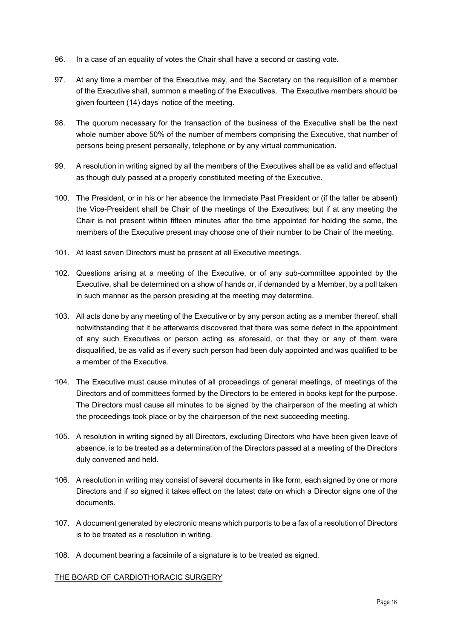- 96. In a case of an equality of votes the Chair shall have a second or casting vote.
- 97. At any time a member of the Executive may, and the Secretary on the requisition of a member of the Executive shall, summon a meeting of the Executives. The Executive members should be given fourteen (14) days' notice of the meeting.
- 98. The quorum necessary for the transaction of the business of the Executive shall be the next whole number above 50% of the number of members comprising the Executive, that number of persons being present personally, telephone or by any virtual communication.
- 99. A resolution in writing signed by all the members of the Executives shall be as valid and effectual as though duly passed at a properly constituted meeting of the Executive.
- 100. The President, or in his or her absence the Immediate Past President or (if the latter be absent) the Vice-President shall be Chair of the meetings of the Executives; but if at any meeting the Chair is not present within fifteen minutes after the time appointed for holding the same, the members of the Executive present may choose one of their number to be Chair of the meeting.
- 101. At least seven Directors must be present at all Executive meetings.
- 102. Questions arising at a meeting of the Executive, or of any sub-committee appointed by the Executive, shall be determined on a show of hands or, if demanded by a Member, by a poll taken in such manner as the person presiding at the meeting may determine.
- 103. All acts done by any meeting of the Executive or by any person acting as a member thereof, shall notwithstanding that it be afterwards discovered that there was some defect in the appointment of any such Executives or person acting as aforesaid, or that they or any of them were disqualified, be as valid as if every such person had been duly appointed and was qualified to be a member of the Executive.
- 104. The Executive must cause minutes of all proceedings of general meetings, of meetings of the Directors and of committees formed by the Directors to be entered in books kept for the purpose. The Directors must cause all minutes to be signed by the chairperson of the meeting at which the proceedings took place or by the chairperson of the next succeeding meeting.
- 105. A resolution in writing signed by all Directors, excluding Directors who have been given leave of absence, is to be treated as a determination of the Directors passed at a meeting of the Directors duly convened and held.
- 106. A resolution in writing may consist of several documents in like form, each signed by one or more Directors and if so signed it takes effect on the latest date on which a Director signs one of the documents.
- 107. A document generated by electronic means which purports to be a fax of a resolution of Directors is to be treated as a resolution in writing.
- 108. A document bearing a facsimile of a signature is to be treated as signed.

## THE BOARD OF CARDIOTHORACIC SURGERY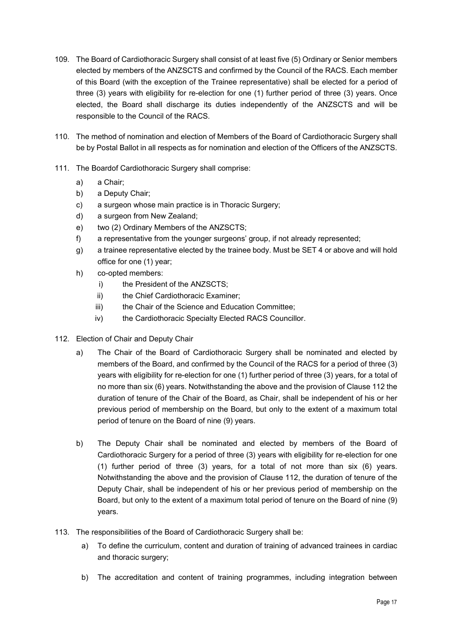- 109. The Board of Cardiothoracic Surgery shall consist of at least five (5) Ordinary or Senior members elected by members of the ANZSCTS and confirmed by the Council of the RACS. Each member of this Board (with the exception of the Trainee representative) shall be elected for a period of three (3) years with eligibility for re-election for one (1) further period of three (3) years. Once elected, the Board shall discharge its duties independently of the ANZSCTS and will be responsible to the Council of the RACS.
- 110. The method of nomination and election of Members of the Board of Cardiothoracic Surgery shall be by Postal Ballot in all respects as for nomination and election of the Officers of the ANZSCTS.
- 111. The Boardof Cardiothoracic Surgery shall comprise:
	- a) a Chair;
	- b) a Deputy Chair;
	- c) a surgeon whose main practice is in Thoracic Surgery;
	- d) a surgeon from New Zealand;
	- e) two (2) Ordinary Members of the ANZSCTS;
	- f) a representative from the younger surgeons' group, if not already represented;
	- g) a trainee representative elected by the trainee body. Must be SET 4 or above and will hold office for one (1) year;
	- h) co-opted members:
		- i) the President of the ANZSCTS:
		- ii) the Chief Cardiothoracic Examiner;
		- iii) the Chair of the Science and Education Committee;
		- iv) the Cardiothoracic Specialty Elected RACS Councillor.
- <span id="page-16-0"></span>112. Election of Chair and Deputy Chair
	- a) The Chair of the Board of Cardiothoracic Surgery shall be nominated and elected by members of the Board, and confirmed by the Council of the RACS for a period of three (3) years with eligibility for re-election for one (1) further period of three (3) years, for a total of no more than six (6) years. Notwithstanding the above and the provision of Clause [112](#page-16-0) the duration of tenure of the Chair of the Board, as Chair, shall be independent of his or her previous period of membership on the Board, but only to the extent of a maximum total period of tenure on the Board of nine (9) years.
	- b) The Deputy Chair shall be nominated and elected by members of the Board of Cardiothoracic Surgery for a period of three (3) years with eligibility for re-election for one (1) further period of three (3) years, for a total of not more than six (6) years. Notwithstanding the above and the provision of Clause [112,](#page-16-0) the duration of tenure of the Deputy Chair, shall be independent of his or her previous period of membership on the Board, but only to the extent of a maximum total period of tenure on the Board of nine (9) years.
- 113. The responsibilities of the Board of Cardiothoracic Surgery shall be:
	- a) To define the curriculum, content and duration of training of advanced trainees in cardiac and thoracic surgery;
	- b) The accreditation and content of training programmes, including integration between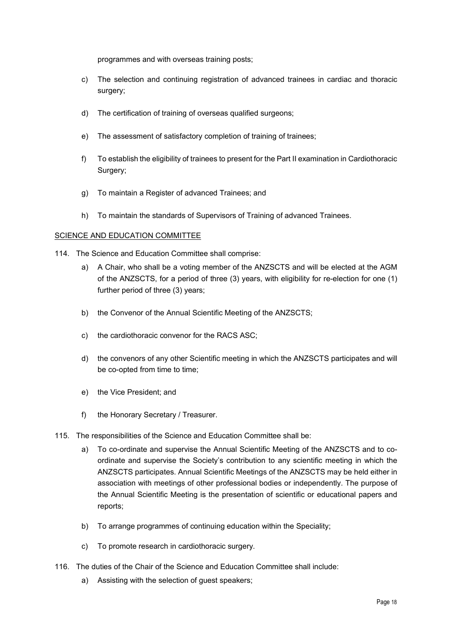programmes and with overseas training posts;

- c) The selection and continuing registration of advanced trainees in cardiac and thoracic surgery;
- d) The certification of training of overseas qualified surgeons;
- e) The assessment of satisfactory completion of training of trainees;
- f) To establish the eligibility of trainees to present for the Part II examination in Cardiothoracic Surgery;
- g) To maintain a Register of advanced Trainees; and
- h) To maintain the standards of Supervisors of Training of advanced Trainees.

## SCIENCE AND EDUCATION COMMITTEE

- 114. The Science and Education Committee shall comprise:
	- a) A Chair, who shall be a voting member of the ANZSCTS and will be elected at the AGM of the ANZSCTS, for a period of three (3) years, with eligibility for re-election for one (1) further period of three (3) years;
	- b) the Convenor of the Annual Scientific Meeting of the ANZSCTS;
	- c) the cardiothoracic convenor for the RACS ASC;
	- d) the convenors of any other Scientific meeting in which the ANZSCTS participates and will be co-opted from time to time;
	- e) the Vice President; and
	- f) the Honorary Secretary / Treasurer.
- 115. The responsibilities of the Science and Education Committee shall be:
	- a) To co-ordinate and supervise the Annual Scientific Meeting of the ANZSCTS and to coordinate and supervise the Society's contribution to any scientific meeting in which the ANZSCTS participates. Annual Scientific Meetings of the ANZSCTS may be held either in association with meetings of other professional bodies or independently. The purpose of the Annual Scientific Meeting is the presentation of scientific or educational papers and reports;
	- b) To arrange programmes of continuing education within the Speciality;
	- c) To promote research in cardiothoracic surgery.
- 116. The duties of the Chair of the Science and Education Committee shall include:
	- a) Assisting with the selection of guest speakers;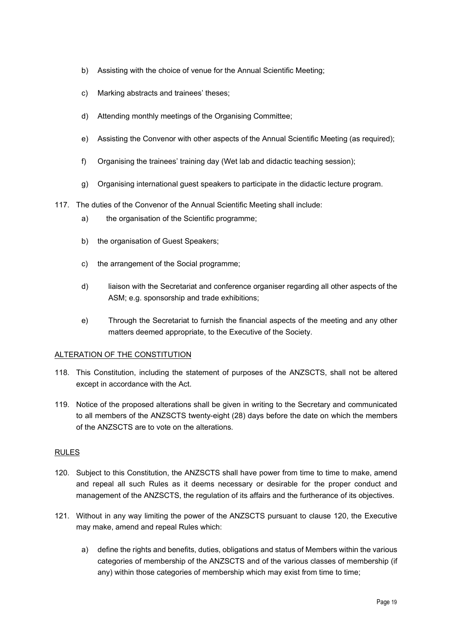- b) Assisting with the choice of venue for the Annual Scientific Meeting;
- c) Marking abstracts and trainees' theses;
- d) Attending monthly meetings of the Organising Committee;
- e) Assisting the Convenor with other aspects of the Annual Scientific Meeting (as required);
- f) Organising the trainees' training day (Wet lab and didactic teaching session);
- g) Organising international guest speakers to participate in the didactic lecture program.
- 117. The duties of the Convenor of the Annual Scientific Meeting shall include:
	- a) the organisation of the Scientific programme;
	- b) the organisation of Guest Speakers;
	- c) the arrangement of the Social programme;
	- d) liaison with the Secretariat and conference organiser regarding all other aspects of the ASM; e.g. sponsorship and trade exhibitions;
	- e) Through the Secretariat to furnish the financial aspects of the meeting and any other matters deemed appropriate, to the Executive of the Society.

## ALTERATION OF THE CONSTITUTION

- 118. This Constitution, including the statement of purposes of the ANZSCTS, shall not be altered except in accordance with the Act.
- 119. Notice of the proposed alterations shall be given in writing to the Secretary and communicated to all members of the ANZSCTS twenty-eight (28) days before the date on which the members of the ANZSCTS are to vote on the alterations.

## RULES

- <span id="page-18-0"></span>120. Subject to this Constitution, the ANZSCTS shall have power from time to time to make, amend and repeal all such Rules as it deems necessary or desirable for the proper conduct and management of the ANZSCTS, the regulation of its affairs and the furtherance of its objectives.
- 121. Without in any way limiting the power of the ANZSCTS pursuant to clause [120,](#page-18-0) the Executive may make, amend and repeal Rules which:
	- a) define the rights and benefits, duties, obligations and status of Members within the various categories of membership of the ANZSCTS and of the various classes of membership (if any) within those categories of membership which may exist from time to time;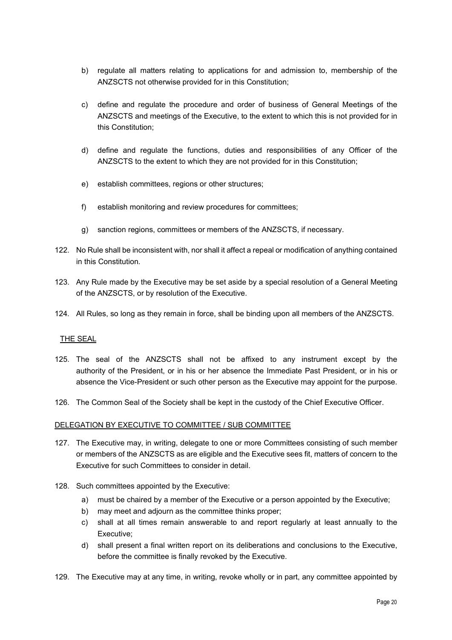- b) regulate all matters relating to applications for and admission to, membership of the ANZSCTS not otherwise provided for in this Constitution;
- c) define and regulate the procedure and order of business of General Meetings of the ANZSCTS and meetings of the Executive, to the extent to which this is not provided for in this Constitution;
- d) define and regulate the functions, duties and responsibilities of any Officer of the ANZSCTS to the extent to which they are not provided for in this Constitution;
- e) establish committees, regions or other structures;
- f) establish monitoring and review procedures for committees;
- g) sanction regions, committees or members of the ANZSCTS, if necessary.
- 122. No Rule shall be inconsistent with, nor shall it affect a repeal or modification of anything contained in this Constitution.
- 123. Any Rule made by the Executive may be set aside by a special resolution of a General Meeting of the ANZSCTS, or by resolution of the Executive.
- 124. All Rules, so long as they remain in force, shall be binding upon all members of the ANZSCTS.

## THE SEAL

- 125. The seal of the ANZSCTS shall not be affixed to any instrument except by the authority of the President, or in his or her absence the Immediate Past President, or in his or absence the Vice-President or such other person as the Executive may appoint for the purpose.
- 126. The Common Seal of the Society shall be kept in the custody of the Chief Executive Officer.

## DELEGATION BY EXECUTIVE TO COMMITTEE / SUB COMMITTEE

- 127. The Executive may, in writing, delegate to one or more Committees consisting of such member or members of the ANZSCTS as are eligible and the Executive sees fit, matters of concern to the Executive for such Committees to consider in detail.
- <span id="page-19-0"></span>128. Such committees appointed by the Executive:
	- a) must be chaired by a member of the Executive or a person appointed by the Executive;
	- b) may meet and adjourn as the committee thinks proper;
	- c) shall at all times remain answerable to and report regularly at least annually to the Executive;
	- d) shall present a final written report on its deliberations and conclusions to the Executive, before the committee is finally revoked by the Executive.
- 129. The Executive may at any time, in writing, revoke wholly or in part, any committee appointed by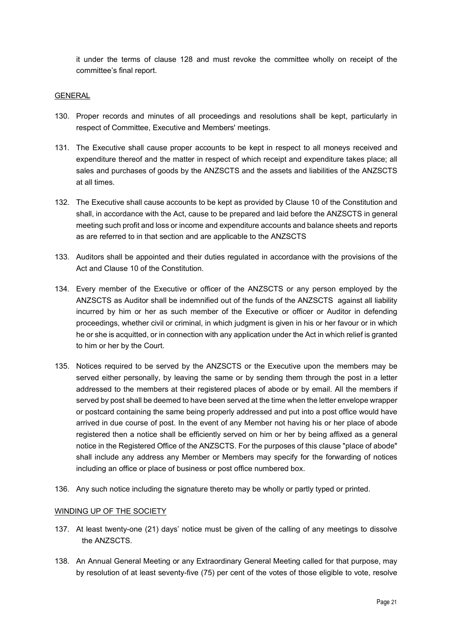it under the terms of clause [128](#page-19-0) and must revoke the committee wholly on receipt of the committee's final report.

### GENERAL

- 130. Proper records and minutes of all proceedings and resolutions shall be kept, particularly in respect of Committee, Executive and Members' meetings.
- 131. The Executive shall cause proper accounts to be kept in respect to all moneys received and expenditure thereof and the matter in respect of which receipt and expenditure takes place; all sales and purchases of goods by the ANZSCTS and the assets and liabilities of the ANZSCTS at all times.
- 132. The Executive shall cause accounts to be kept as provided by Claus[e 10](#page-2-0) of the Constitution and shall, in accordance with the Act, cause to be prepared and laid before the ANZSCTS in general meeting such profit and loss or income and expenditure accounts and balance sheets and reports as are referred to in that section and are applicable to the ANZSCTS
- 133. Auditors shall be appointed and their duties regulated in accordance with the provisions of the Act and Clause [10](#page-2-0) of the Constitution.
- 134. Every member of the Executive or officer of the ANZSCTS or any person employed by the ANZSCTS as Auditor shall be indemnified out of the funds of the ANZSCTS against all liability incurred by him or her as such member of the Executive or officer or Auditor in defending proceedings, whether civil or criminal, in which judgment is given in his or her favour or in which he or she is acquitted, or in connection with any application under the Act in which relief is granted to him or her by the Court.
- 135. Notices required to be served by the ANZSCTS or the Executive upon the members may be served either personally, by leaving the same or by sending them through the post in a letter addressed to the members at their registered places of abode or by email. All the members if served by post shall be deemed to have been served at the time when the letter envelope wrapper or postcard containing the same being properly addressed and put into a post office would have arrived in due course of post. In the event of any Member not having his or her place of abode registered then a notice shall be efficiently served on him or her by being affixed as a general notice in the Registered Office of the ANZSCTS. For the purposes of this clause "place of abode" shall include any address any Member or Members may specify for the forwarding of notices including an office or place of business or post office numbered box.
- 136. Any such notice including the signature thereto may be wholly or partly typed or printed.

### WINDING UP OF THE SOCIETY

- 137. At least twenty-one (21) days' notice must be given of the calling of any meetings to dissolve the ANZSCTS.
- 138. An Annual General Meeting or any Extraordinary General Meeting called for that purpose, may by resolution of at least seventy-five (75) per cent of the votes of those eligible to vote, resolve